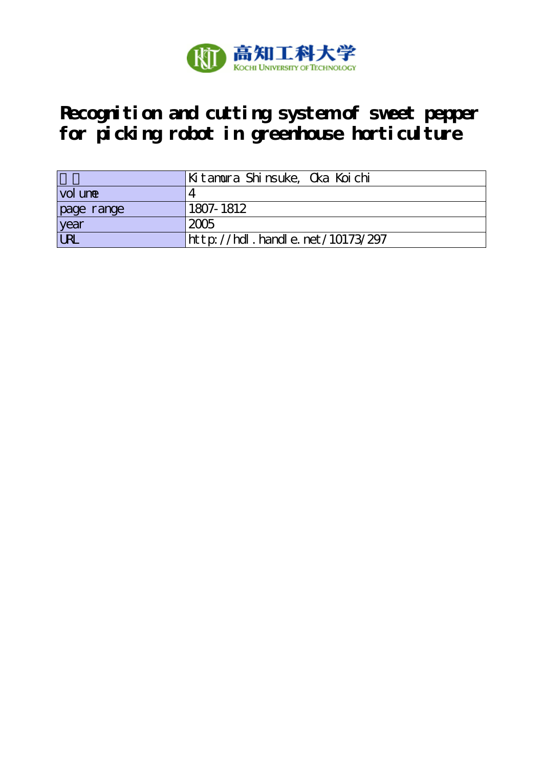

# **Recognition and cutting system of sweet pepper for picking robot in greenhouse horticulture**

|            | Kitamura Shinsuke, Oka Koichi             |
|------------|-------------------------------------------|
| vol une    |                                           |
| page range | 1807-1812                                 |
| year       | 2005                                      |
| <b>URL</b> | $ht$ by $1/hdl$ , handle, net $10173/297$ |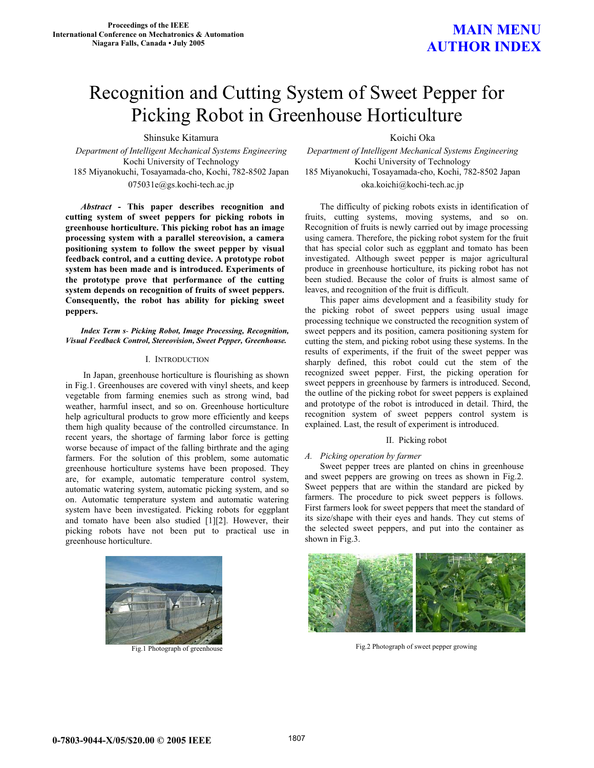### **MAIN MENU AUTHOR INDEX**

## Recognition and Cutting System of Sweet Pepper for Picking Robot in Greenhouse Horticulture

Shinsuke Kitamura Koichi Oka

Kochi University of Technology<br>185 Miyanokuchi, Tosayamada-cho, Kochi, 782-8502 Japan 185 Miyanokuchi, Tosayamada-cho, Kochi, 78

*Abstract* **- This paper describes recognition and cutting system of sweet peppers for picking robots in greenhouse horticulture. This picking robot has an image processing system with a parallel stereovision, a camera positioning system to follow the sweet pepper by visual feedback control, and a cutting device. A prototype robot system has been made and is introduced. Experiments of the prototype prove that performance of the cutting system depends on recognition of fruits of sweet peppers. Consequently, the robot has ability for picking sweet peppers.**

*Index Term s- Picking Robot, Image Processing, Recognition, Visual Feedback Control, Stereovision, Sweet Pepper, Greenhouse.* 

### I. INTRODUCTION

In Japan, greenhouse horticulture is flourishing as shown in Fig.1. Greenhouses are covered with vinyl sheets, and keep vegetable from farming enemies such as strong wind, bad weather, harmful insect, and so on. Greenhouse horticulture help agricultural products to grow more efficiently and keeps them high quality because of the controlled circumstance. In recent years, the shortage of farming labor force is getting worse because of impact of the falling birthrate and the aging farmers. For the solution of this problem, some automatic greenhouse horticulture systems have been proposed. They are, for example, automatic temperature control system, automatic watering system, automatic picking system, and so on. Automatic temperature system and automatic watering system have been investigated. Picking robots for eggplant and tomato have been also studied [1][2]. However, their picking robots have not been put to practical use in greenhouse horticulture.



Fig.1 Photograph of greenhouse

*Department of Intelligent Mechanical Systems Engineering Department of Intelligent Mechanical Systems Engineering*  185 Miyanokuchi, Tosayamada-cho, Kochi, 782-8502 Japan 185 Miyanokuchi, Tosayamada-cho, Kochi, 782-8502 Japan 075031e@gs.kochi-tech.ac.jp oka.koichi@kochi-tech.ac.jp

> The difficulty of picking robots exists in identification of fruits, cutting systems, moving systems, and so on. Recognition of fruits is newly carried out by image processing using camera. Therefore, the picking robot system for the fruit that has special color such as eggplant and tomato has been investigated. Although sweet pepper is major agricultural produce in greenhouse horticulture, its picking robot has not been studied. Because the color of fruits is almost same of leaves, and recognition of the fruit is difficult.

> This paper aims development and a feasibility study for the picking robot of sweet peppers using usual image processing technique we constructed the recognition system of sweet peppers and its position, camera positioning system for cutting the stem, and picking robot using these systems. In the results of experiments, if the fruit of the sweet pepper was sharply defined, this robot could cut the stem of the recognized sweet pepper. First, the picking operation for sweet peppers in greenhouse by farmers is introduced. Second, the outline of the picking robot for sweet peppers is explained and prototype of the robot is introduced in detail. Third, the recognition system of sweet peppers control system is explained. Last, the result of experiment is introduced.

### II. Picking robot

### *A. Picking operation by farmer*

Sweet pepper trees are planted on chins in greenhouse and sweet peppers are growing on trees as shown in Fig.2. Sweet peppers that are within the standard are picked by farmers. The procedure to pick sweet peppers is follows. First farmers look for sweet peppers that meet the standard of its size/shape with their eyes and hands. They cut stems of the selected sweet peppers, and put into the container as shown in Fig.3.



Fig.2 Photograph of sweet pepper growing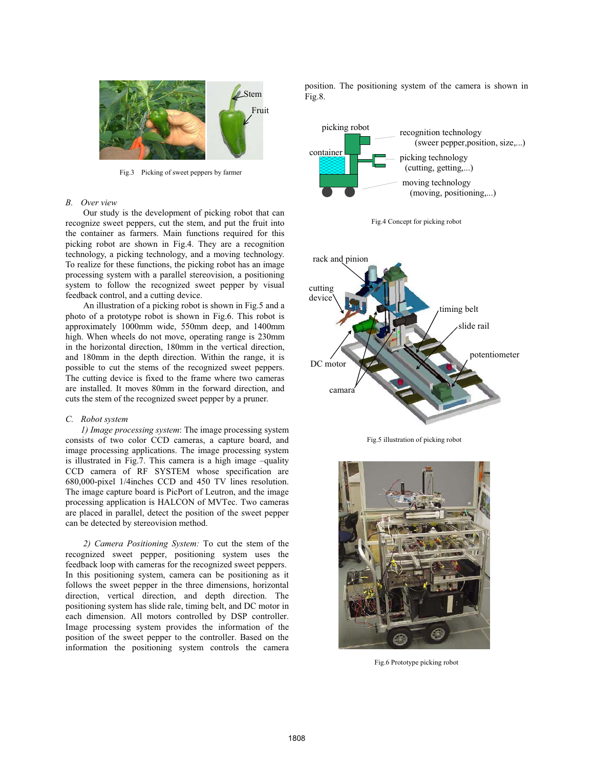

Fig.3 Picking of sweet peppers by farmer

### *B. Over view*

Our study is the development of picking robot that can recognize sweet peppers, cut the stem, and put the fruit into the container as farmers. Main functions required for this picking robot are shown in Fig.4. They are a recognition technology, a picking technology, and a moving technology. To realize for these functions, the picking robot has an image processing system with a parallel stereovision, a positioning system to follow the recognized sweet pepper by visual feedback control, and a cutting device.

An illustration of a picking robot is shown in Fig.5 and a photo of a prototype robot is shown in Fig.6. This robot is approximately 1000mm wide, 550mm deep, and 1400mm high. When wheels do not move, operating range is 230mm in the horizontal direction, 180mm in the vertical direction, and 180mm in the depth direction. Within the range, it is possible to cut the stems of the recognized sweet peppers. The cutting device is fixed to the frame where two cameras are installed. It moves 80mm in the forward direction, and cuts the stem of the recognized sweet pepper by a pruner.

#### *C. Robot system*

*1) Image processing system*: The image processing system consists of two color CCD cameras, a capture board, and image processing applications. The image processing system is illustrated in Fig.7. This camera is a high image –quality CCD camera of RF SYSTEM whose specification are 680,000-pixel 1/4inches CCD and 450 TV lines resolution. The image capture board is PicPort of Leutron, and the image processing application is HALCON of MVTec. Two cameras are placed in parallel, detect the position of the sweet pepper can be detected by stereovision method.

*2) Camera Positioning System:* To cut the stem of the recognized sweet pepper, positioning system uses the feedback loop with cameras for the recognized sweet peppers. In this positioning system, camera can be positioning as it follows the sweet pepper in the three dimensions, horizontal direction, vertical direction, and depth direction. The positioning system has slide rale, timing belt, and DC motor in each dimension. All motors controlled by DSP controller. Image processing system provides the information of the position of the sweet pepper to the controller. Based on the information the positioning system controls the camera position. The positioning system of the camera is shown in Fig.8.







Fig.5 illustration of picking robot



Fig.6 Prototype picking robot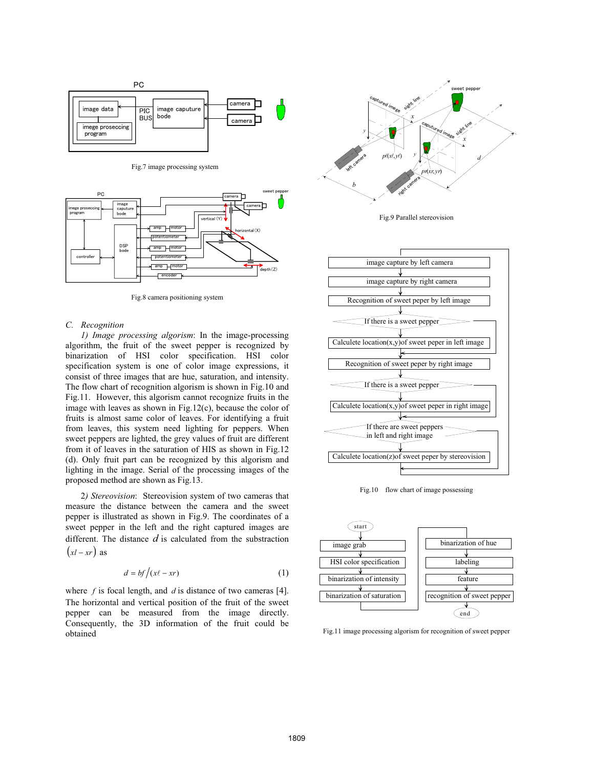

Fig.7 image processing system



Fig.8 camera positioning system

#### *C. Recognition*

*1) Image processing algorism*: In the image-processing algorithm, the fruit of the sweet pepper is recognized by binarization of HSI color specification. HSI color specification system is one of color image expressions, it consist of three images that are hue, saturation, and intensity. The flow chart of recognition algorism is shown in Fig.10 and Fig.11. However, this algorism cannot recognize fruits in the image with leaves as shown in Fig.12(c), because the color of fruits is almost same color of leaves. For identifying a fruit from leaves, this system need lighting for peppers. When sweet peppers are lighted, the grey values of fruit are different from it of leaves in the saturation of HIS as shown in Fig.12 (d). Only fruit part can be recognized by this algorism and lighting in the image. Serial of the processing images of the proposed method are shown as Fig.13.

 2*) Stereovision*: Stereovision system of two cameras that measure the distance between the camera and the sweet pepper is illustrated as shown in Fig.9. The coordinates of a sweet pepper in the left and the right captured images are different. The distance *d* is calculated from the substraction  $(xl - xr)$  as

$$
d = bf/(x\ell - xr) \tag{1}
$$

where *f* is focal length, and *d* is distance of two cameras [4]. The horizontal and vertical position of the fruit of the sweet pepper can be measured from the image directly. Consequently, the 3D information of the fruit could be obtained



Fig.9 Parallel stereovision



Fig.10 flow chart of image possessing



Fig.11 image processing algorism for recognition of sweet pepper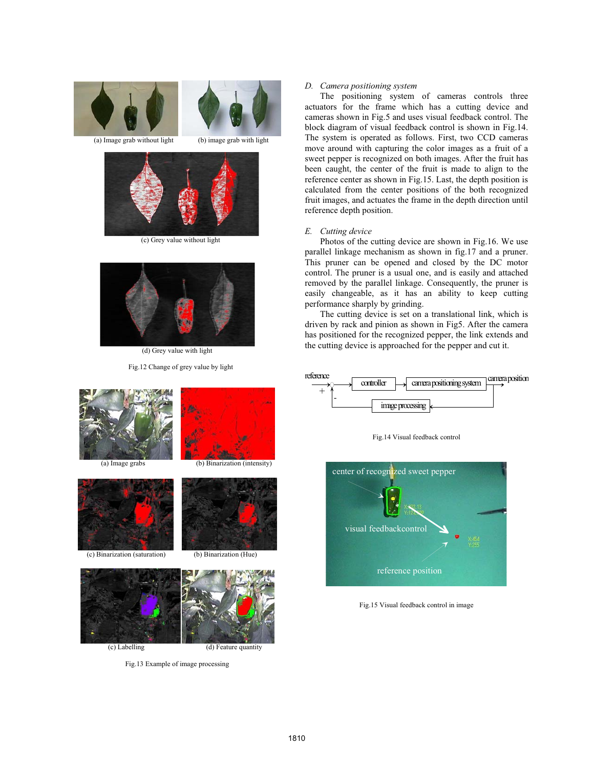

(a) Image grab without light (b) image grab with light



(c) Grey value without light



(d) Grey value with light

Fig.12 Change of grey value by light



Fig.13 Example of image processing

(c) Labelling (d) Feature quantity

#### *D. Camera positioning system*

The positioning system of cameras controls three actuators for the frame which has a cutting device and cameras shown in Fig.5 and uses visual feedback control. The block diagram of visual feedback control is shown in Fig.14. The system is operated as follows. First, two CCD cameras move around with capturing the color images as a fruit of a sweet pepper is recognized on both images. After the fruit has been caught, the center of the fruit is made to align to the reference center as shown in Fig.15. Last, the depth position is calculated from the center positions of the both recognized fruit images, and actuates the frame in the depth direction until reference depth position.

#### *E. Cutting device*

Photos of the cutting device are shown in Fig.16. We use parallel linkage mechanism as shown in fig.17 and a pruner. This pruner can be opened and closed by the DC motor control. The pruner is a usual one, and is easily and attached removed by the parallel linkage. Consequently, the pruner is easily changeable, as it has an ability to keep cutting performance sharply by grinding.

The cutting device is set on a translational link, which is driven by rack and pinion as shown in Fig5. After the camera has positioned for the recognized pepper, the link extends and the cutting device is approached for the pepper and cut it.



Fig.15 Visual feedback control in image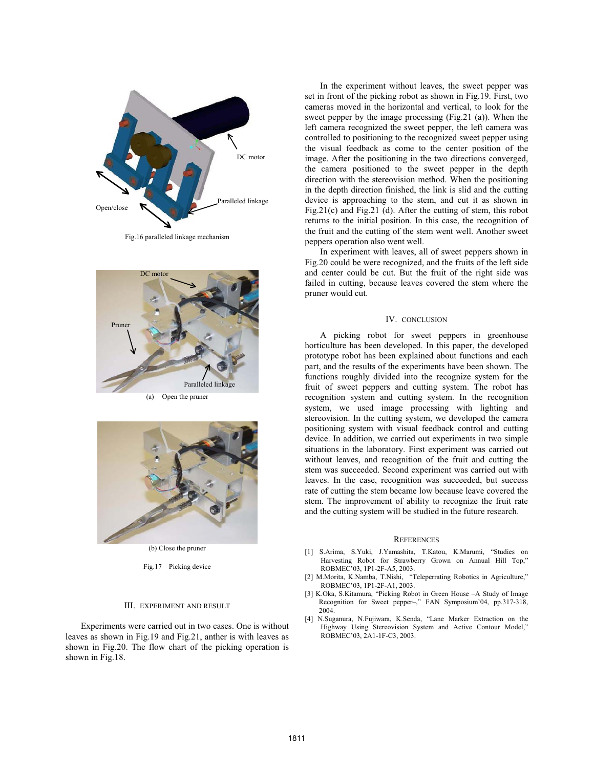

Fig.16 paralleled linkage mechanism



(a) Open the pruner



(b) Close the pruner

#### Fig.17 Picking device

#### III. EXPERIMENT AND RESULT

Experiments were carried out in two cases. One is without leaves as shown in Fig.19 and Fig.21, anther is with leaves as shown in Fig.20. The flow chart of the picking operation is shown in Fig.18.

In the experiment without leaves, the sweet pepper was set in front of the picking robot as shown in Fig.19. First, two cameras moved in the horizontal and vertical, to look for the sweet pepper by the image processing (Fig.21 (a)). When the left camera recognized the sweet pepper, the left camera was controlled to positioning to the recognized sweet pepper using the visual feedback as come to the center position of the image. After the positioning in the two directions converged, the camera positioned to the sweet pepper in the depth direction with the stereovision method. When the positioning in the depth direction finished, the link is slid and the cutting device is approaching to the stem, and cut it as shown in Fig.21(c) and Fig.21 (d). After the cutting of stem, this robot returns to the initial position. In this case, the recognition of the fruit and the cutting of the stem went well. Another sweet peppers operation also went well.

In experiment with leaves, all of sweet peppers shown in Fig.20 could be were recognized, and the fruits of the left side and center could be cut. But the fruit of the right side was failed in cutting, because leaves covered the stem where the pruner would cut.

#### IV. CONCLUSION

A picking robot for sweet peppers in greenhouse horticulture has been developed. In this paper, the developed prototype robot has been explained about functions and each part, and the results of the experiments have been shown. The functions roughly divided into the recognize system for the fruit of sweet peppers and cutting system. The robot has recognition system and cutting system. In the recognition system, we used image processing with lighting and stereovision. In the cutting system, we developed the camera positioning system with visual feedback control and cutting device. In addition, we carried out experiments in two simple situations in the laboratory. First experiment was carried out without leaves, and recognition of the fruit and cutting the stem was succeeded. Second experiment was carried out with leaves. In the case, recognition was succeeded, but success rate of cutting the stem became low because leave covered the stem. The improvement of ability to recognize the fruit rate and the cutting system will be studied in the future research.

#### **REFERENCES**

- [1] S.Arima, S.Yuki, J.Yamashita, T.Katou, K.Marumi, "Studies on Harvesting Robot for Strawberry Grown on Annual Hill Top," ROBMEC'03, 1P1-2F-A5, 2003.
- [2] M.Morita, K.Namba, T.Nishi, "Teleperrating Robotics in Agriculture," ROBMEC'03, 1P1-2F-A1, 2003.
- [3] K.Oka, S.Kitamura, "Picking Robot in Green House –A Study of Image Recognition for Sweet pepper–," FAN Symposium'04, pp.317-318, 2004.
- [4] N.Suganura, N.Fujiwara, K.Senda, "Lane Marker Extraction on the Highway Using Stereovision System and Active Contour Model," ROBMEC'03, 2A1-1F-C3, 2003.